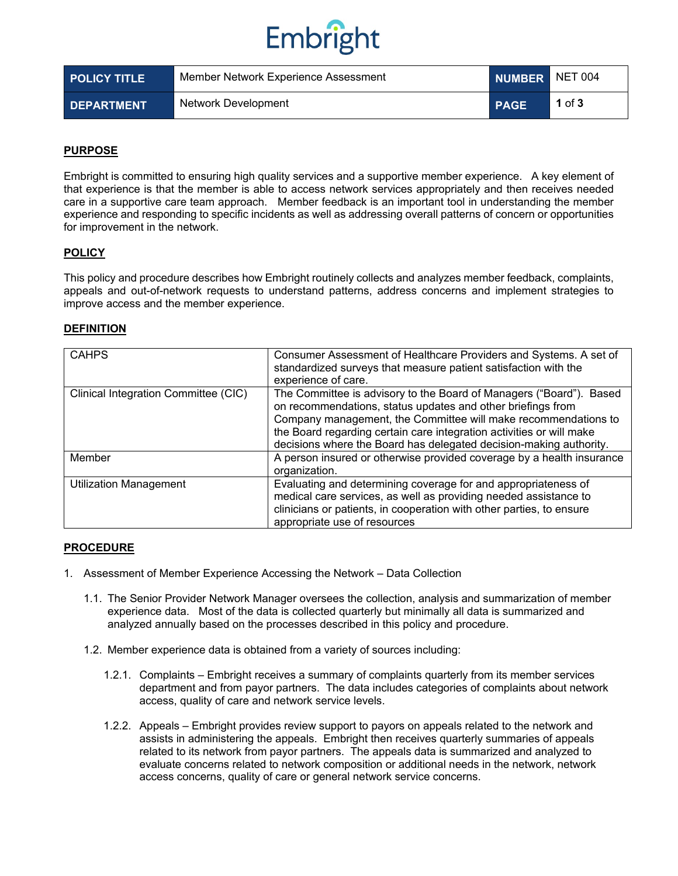# Embright

| <b>POLICY TITLE</b> | Member Network Experience Assessment | NUMBER NET 004 |          |
|---------------------|--------------------------------------|----------------|----------|
| <b>DEPARTMENT</b>   | Network Development                  | <b>PAGE</b>    | 1 of $3$ |

### **PURPOSE**

Embright is committed to ensuring high quality services and a supportive member experience. A key element of that experience is that the member is able to access network services appropriately and then receives needed care in a supportive care team approach. Member feedback is an important tool in understanding the member experience and responding to specific incidents as well as addressing overall patterns of concern or opportunities for improvement in the network.

### **POLICY**

This policy and procedure describes how Embright routinely collects and analyzes member feedback, complaints, appeals and out-of-network requests to understand patterns, address concerns and implement strategies to improve access and the member experience.

### **DEFINITION**

| <b>CAHPS</b>                         | Consumer Assessment of Healthcare Providers and Systems. A set of<br>standardized surveys that measure patient satisfaction with the<br>experience of care.                                                                                                                                                                                        |  |
|--------------------------------------|----------------------------------------------------------------------------------------------------------------------------------------------------------------------------------------------------------------------------------------------------------------------------------------------------------------------------------------------------|--|
| Clinical Integration Committee (CIC) | The Committee is advisory to the Board of Managers ("Board"). Based<br>on recommendations, status updates and other briefings from<br>Company management, the Committee will make recommendations to<br>the Board regarding certain care integration activities or will make<br>decisions where the Board has delegated decision-making authority. |  |
| Member                               | A person insured or otherwise provided coverage by a health insurance<br>organization.                                                                                                                                                                                                                                                             |  |
| <b>Utilization Management</b>        | Evaluating and determining coverage for and appropriateness of<br>medical care services, as well as providing needed assistance to<br>clinicians or patients, in cooperation with other parties, to ensure<br>appropriate use of resources                                                                                                         |  |

#### **PROCEDURE**

- 1. Assessment of Member Experience Accessing the Network Data Collection
	- 1.1. The Senior Provider Network Manager oversees the collection, analysis and summarization of member experience data. Most of the data is collected quarterly but minimally all data is summarized and analyzed annually based on the processes described in this policy and procedure.
	- 1.2. Member experience data is obtained from a variety of sources including:
		- 1.2.1. Complaints Embright receives a summary of complaints quarterly from its member services department and from payor partners. The data includes categories of complaints about network access, quality of care and network service levels.
		- 1.2.2. Appeals Embright provides review support to payors on appeals related to the network and assists in administering the appeals. Embright then receives quarterly summaries of appeals related to its network from payor partners. The appeals data is summarized and analyzed to evaluate concerns related to network composition or additional needs in the network, network access concerns, quality of care or general network service concerns.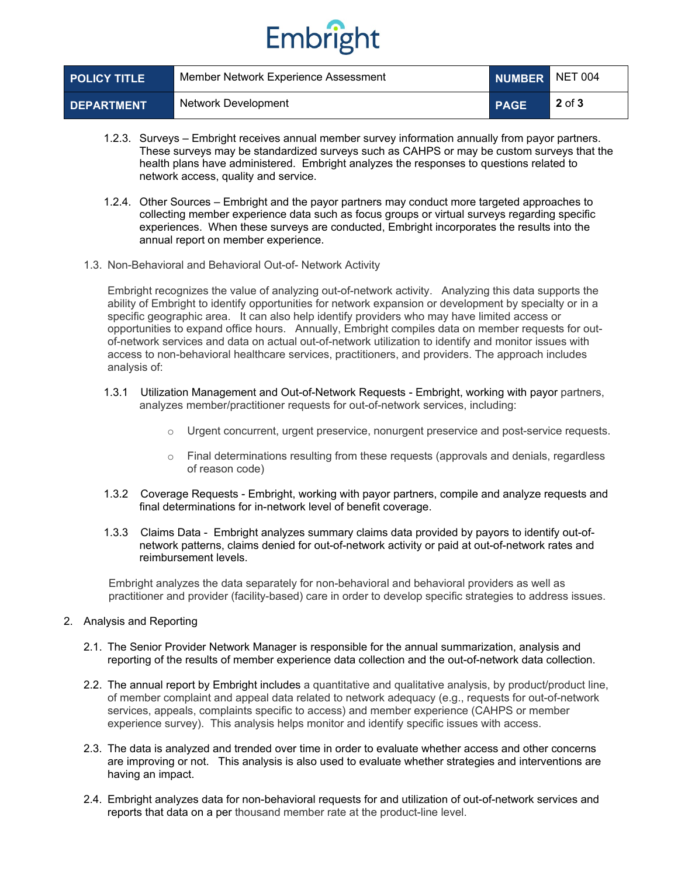# Embright

| <b>POLICY TITLE</b> | Member Network Experience Assessment |             | NUMBER NET 004 |
|---------------------|--------------------------------------|-------------|----------------|
| <b>DEPARTMENT</b>   | Network Development                  | <b>PAGE</b> | $2$ of $3$     |

- 1.2.3. Surveys Embright receives annual member survey information annually from payor partners. These surveys may be standardized surveys such as CAHPS or may be custom surveys that the health plans have administered. Embright analyzes the responses to questions related to network access, quality and service.
- 1.2.4. Other Sources Embright and the payor partners may conduct more targeted approaches to collecting member experience data such as focus groups or virtual surveys regarding specific experiences. When these surveys are conducted, Embright incorporates the results into the annual report on member experience.
- 1.3. Non-Behavioral and Behavioral Out-of- Network Activity

Embright recognizes the value of analyzing out-of-network activity. Analyzing this data supports the ability of Embright to identify opportunities for network expansion or development by specialty or in a specific geographic area. It can also help identify providers who may have limited access or opportunities to expand office hours. Annually, Embright compiles data on member requests for outof-network services and data on actual out-of-network utilization to identify and monitor issues with access to non-behavioral healthcare services, practitioners, and providers. The approach includes analysis of:

- 1.3.1 Utilization Management and Out-of-Network Requests Embright, working with payor partners, analyzes member/practitioner requests for out-of-network services, including:
	- $\circ$  Urgent concurrent, urgent preservice, nonurgent preservice and post-service requests.
	- o Final determinations resulting from these requests (approvals and denials, regardless of reason code)
- 1.3.2 Coverage Requests Embright, working with payor partners, compile and analyze requests and final determinations for in-network level of benefit coverage.
- 1.3.3 Claims Data Embright analyzes summary claims data provided by payors to identify out-ofnetwork patterns, claims denied for out-of-network activity or paid at out-of-network rates and reimbursement levels.

Embright analyzes the data separately for non-behavioral and behavioral providers as well as practitioner and provider (facility-based) care in order to develop specific strategies to address issues.

- 2. Analysis and Reporting
	- 2.1. The Senior Provider Network Manager is responsible for the annual summarization, analysis and reporting of the results of member experience data collection and the out-of-network data collection.
	- 2.2. The annual report by Embright includes a quantitative and qualitative analysis, by product/product line, of member complaint and appeal data related to network adequacy (e.g., requests for out-of-network services, appeals, complaints specific to access) and member experience (CAHPS or member experience survey). This analysis helps monitor and identify specific issues with access.
	- 2.3. The data is analyzed and trended over time in order to evaluate whether access and other concerns are improving or not. This analysis is also used to evaluate whether strategies and interventions are having an impact.
	- 2.4. Embright analyzes data for non-behavioral requests for and utilization of out-of-network services and reports that data on a per thousand member rate at the product-line level.